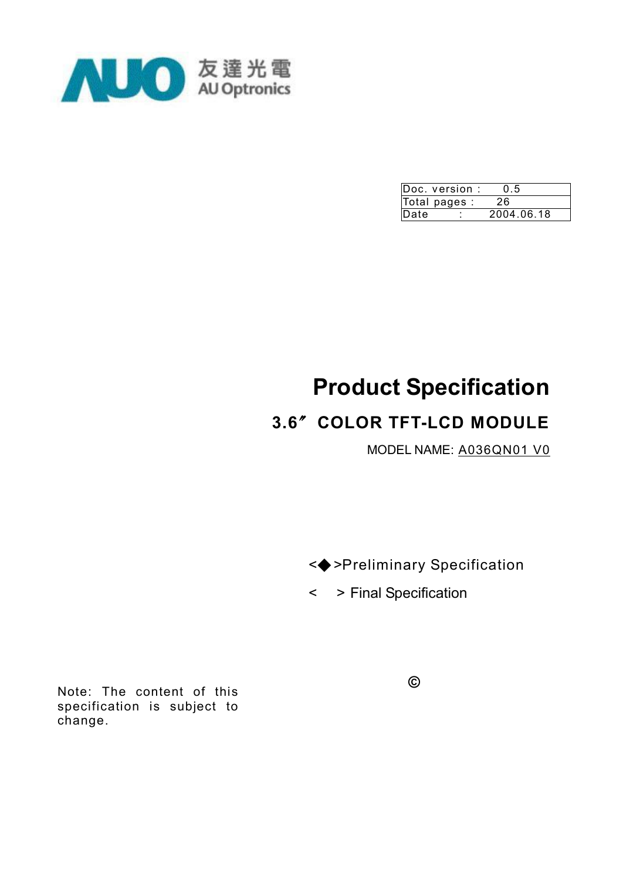

|              | Doc. version : | 0.5        |  |
|--------------|----------------|------------|--|
|              | Total pages :  | 26         |  |
| <b>IDate</b> | ٠              | 2004.06.18 |  |

# **Product Specification**

# **3.6**〞**COLOR TFT-LCD MODULE**

MODEL NAME: A036QN01 V0

<◆>Preliminary Specification

< > Final Specification

Note: The content of this specification is subject to change.

**©**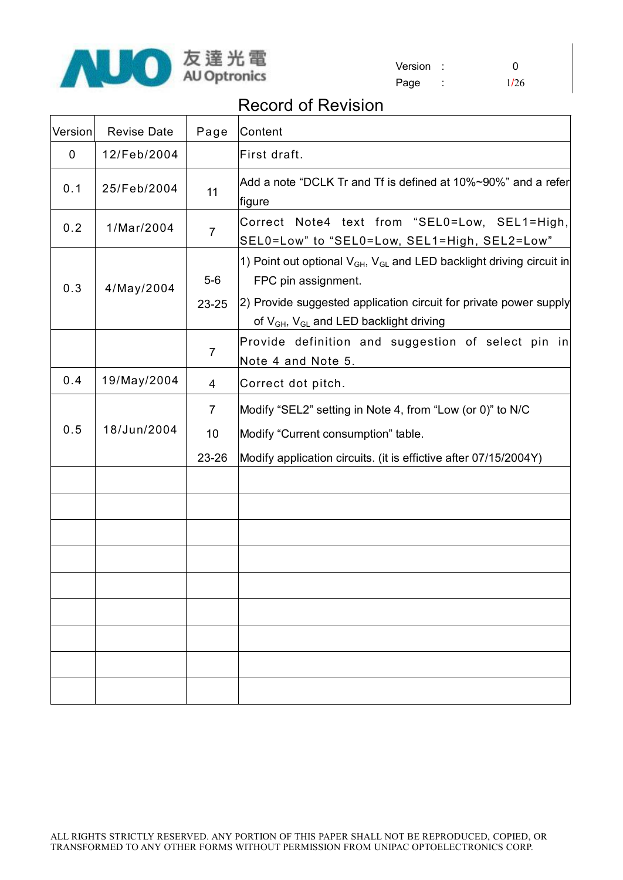

| Version |      |
|---------|------|
| Page    | 1/26 |

## Record of Revision

| Version | <b>Revise Date</b> | Page                          | Content                                                                                                                                                                                                                                                    |
|---------|--------------------|-------------------------------|------------------------------------------------------------------------------------------------------------------------------------------------------------------------------------------------------------------------------------------------------------|
| 0       | 12/Feb/2004        |                               | First draft.                                                                                                                                                                                                                                               |
| 0.1     | 25/Feb/2004        | 11                            | Add a note "DCLK Tr and Tf is defined at 10%~90%" and a refer<br>figure                                                                                                                                                                                    |
| 0.2     | 1/Mar/2004         | $\overline{7}$                | Correct Note4 text from "SEL0=Low, SEL1=High,<br>SEL0=Low" to "SEL0=Low, SEL1=High, SEL2=Low"                                                                                                                                                              |
| 0.3     | 4/May/2004         | $5-6$<br>23-25                | 1) Point out optional V <sub>GH</sub> , V <sub>GL</sub> and LED backlight driving circuit in<br>FPC pin assignment.<br>2) Provide suggested application circuit for private power supply<br>of V <sub>GH</sub> , V <sub>GL</sub> and LED backlight driving |
|         |                    | $\overline{7}$                | Provide definition and suggestion of select pin in<br>Note 4 and Note 5.                                                                                                                                                                                   |
| 0.4     | 19/May/2004        | 4                             | Correct dot pitch.                                                                                                                                                                                                                                         |
| 0.5     | 18/Jun/2004        | $\overline{7}$<br>10<br>23-26 | Modify "SEL2" setting in Note 4, from "Low (or 0)" to N/C<br>Modify "Current consumption" table.<br>Modify application circuits. (it is effictive after 07/15/2004Y)                                                                                       |
|         |                    |                               |                                                                                                                                                                                                                                                            |
|         |                    |                               |                                                                                                                                                                                                                                                            |
|         |                    |                               |                                                                                                                                                                                                                                                            |
|         |                    |                               |                                                                                                                                                                                                                                                            |
|         |                    |                               |                                                                                                                                                                                                                                                            |
|         |                    |                               |                                                                                                                                                                                                                                                            |
|         |                    |                               |                                                                                                                                                                                                                                                            |
|         |                    |                               |                                                                                                                                                                                                                                                            |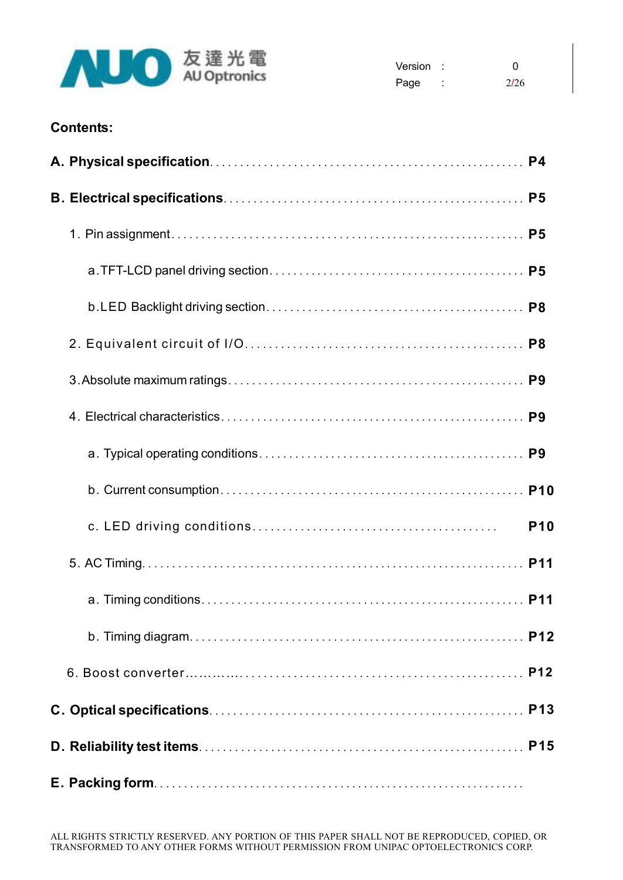

| Version |        | 0    |
|---------|--------|------|
| Page    | ٠<br>٠ | 2/26 |

## **Contents:**

|  | <b>P10</b> |
|--|------------|
|  |            |
|  |            |
|  |            |
|  |            |
|  |            |
|  |            |
|  |            |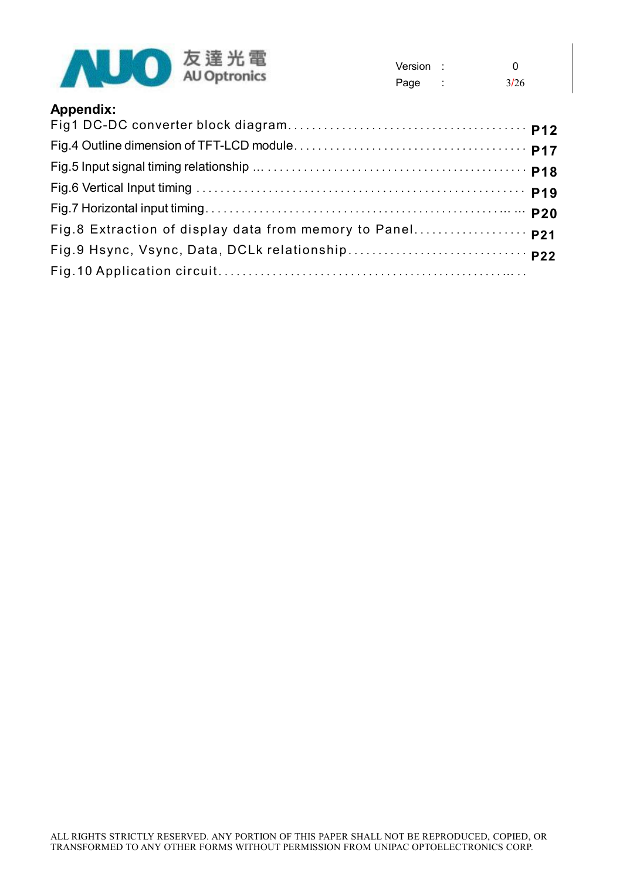

| Version | O    |
|---------|------|
| Page    | 3/26 |

## **Appendix:**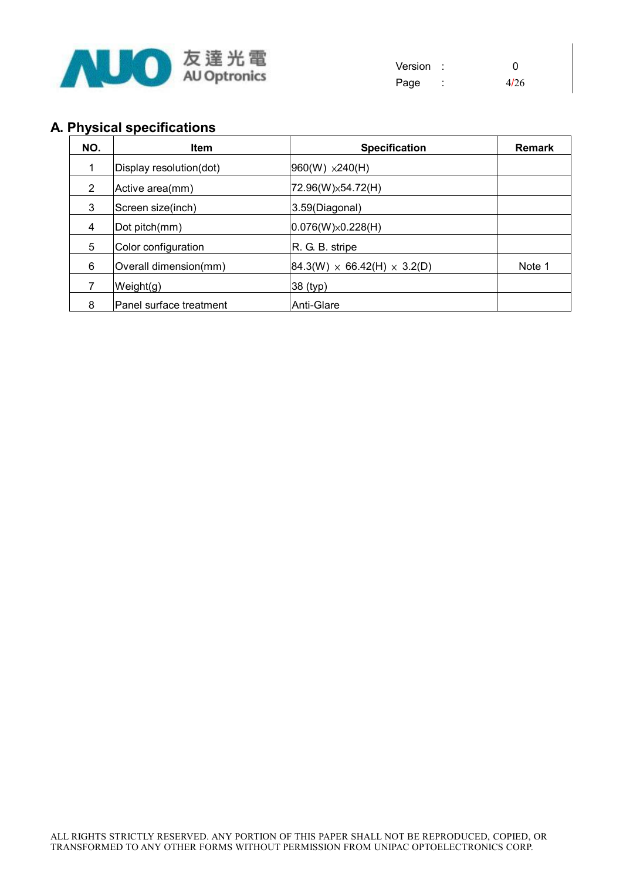

| Version |   | 0    |
|---------|---|------|
| Page    | ٠ | 4/26 |

## **A. Physical specifications**

| NO. | <b>Item</b>             | <b>Specification</b>                      | <b>Remark</b> |
|-----|-------------------------|-------------------------------------------|---------------|
|     | Display resolution(dot) | $960(W) \times 240(H)$                    |               |
| 2   | Active area(mm)         | 72.96(W) × 54.72(H)                       |               |
| 3   | Screen size(inch)       | 3.59(Diagonal)                            |               |
| 4   | Dot pitch(mm)           | $ 0.076(W)\times0.228(H) $                |               |
| 5   | Color configuration     | R. G. B. stripe                           |               |
| 6   | Overall dimension(mm)   | $ 84.3(W) \times 66.42(H) \times 3.2(D) $ | Note 1        |
|     | Weight(g)               | 38 (typ)                                  |               |
| 8   | Panel surface treatment | Anti-Glare                                |               |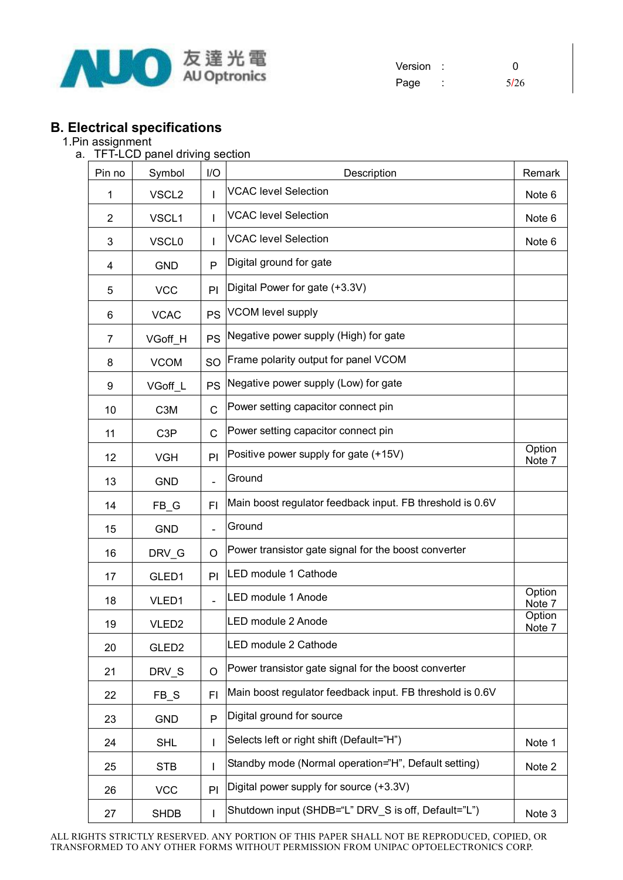

| Version |   | ∩    |
|---------|---|------|
| Page    | ٠ | 5/26 |

## **B. Electrical specifications**

#### 1.Pin assignment

a. TFT-LCD panel driving section

| Pin no         | Symbol            | I/O            | Description                                               | Remark            |
|----------------|-------------------|----------------|-----------------------------------------------------------|-------------------|
| 1              | VSCL <sub>2</sub> | I              | <b>VCAC level Selection</b>                               | Note 6            |
| $\overline{2}$ | VSCL1             | ı              | <b>VCAC level Selection</b>                               | Note 6            |
| 3              | VSCL <sub>0</sub> | I              | <b>VCAC level Selection</b>                               | Note <sub>6</sub> |
| 4              | <b>GND</b>        | P              | Digital ground for gate                                   |                   |
| 5              | <b>VCC</b>        | PI             | Digital Power for gate (+3.3V)                            |                   |
| 6              | <b>VCAC</b>       | <b>PS</b>      | <b>VCOM level supply</b>                                  |                   |
| 7              | VGoff_H           | <b>PS</b>      | Negative power supply (High) for gate                     |                   |
| 8              | <b>VCOM</b>       | <b>SO</b>      | Frame polarity output for panel VCOM                      |                   |
| 9              | VGoff L           | PS             | Negative power supply (Low) for gate                      |                   |
| 10             | C <sub>3</sub> M  | C              | Power setting capacitor connect pin                       |                   |
| 11             | C <sub>3</sub> P  | C              | Power setting capacitor connect pin                       |                   |
| 12             | <b>VGH</b>        | PI             | Positive power supply for gate (+15V)                     | Option<br>Note 7  |
| 13             | <b>GND</b>        | $\overline{a}$ | Ground                                                    |                   |
| 14             | $FB_G$            | FI             | Main boost regulator feedback input. FB threshold is 0.6V |                   |
| 15             | <b>GND</b>        | $\overline{a}$ | Ground                                                    |                   |
| 16             | DRV_G             | O              | Power transistor gate signal for the boost converter      |                   |
| 17             | GLED1             | PI             | LED module 1 Cathode                                      |                   |
| 18             | VLED1             | $\overline{a}$ | LED module 1 Anode                                        | Option<br>Note 7  |
| 19             | VLED <sub>2</sub> |                | LED module 2 Anode                                        | Option<br>Note 7  |
| 20             | GLED <sub>2</sub> |                | LED module 2 Cathode                                      |                   |
| 21             | DRV_S             | O              | Power transistor gate signal for the boost converter      |                   |
| 22             | FB_S              | FI             | Main boost regulator feedback input. FB threshold is 0.6V |                   |
| 23             | <b>GND</b>        | P              | Digital ground for source                                 |                   |
| 24             | <b>SHL</b>        | ı              | Selects left or right shift (Default="H")                 | Note 1            |
| 25             | <b>STB</b>        | ı              | Standby mode (Normal operation="H", Default setting)      | Note 2            |
| 26             | <b>VCC</b>        | PI             | Digital power supply for source (+3.3V)                   |                   |
| 27             | <b>SHDB</b>       | ı              | Shutdown input (SHDB="L" DRV_S is off, Default="L")       | Note 3            |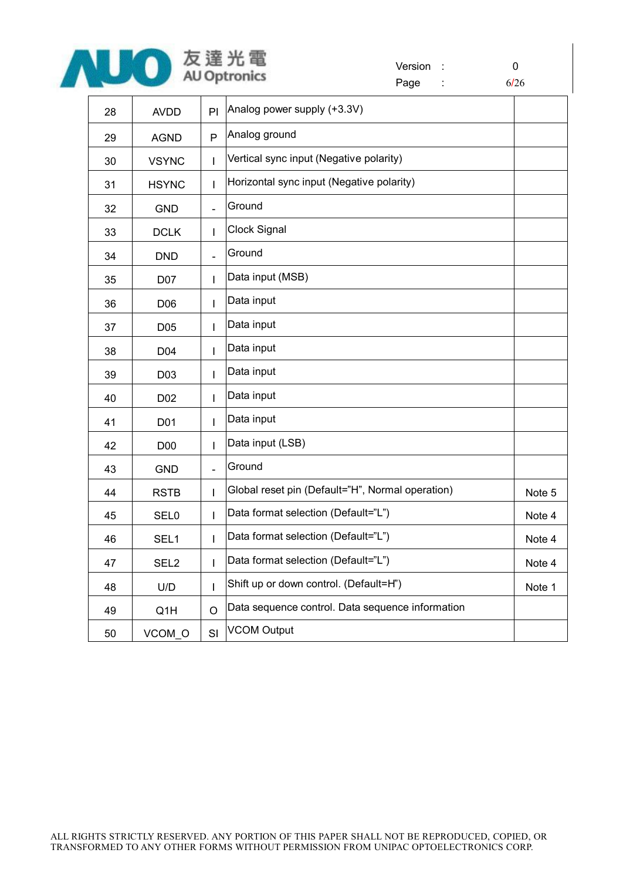

Version : 0 Page : 6/26

| 28 | <b>AVDD</b>      | PI             | Analog power supply (+3.3V)                      |        |
|----|------------------|----------------|--------------------------------------------------|--------|
| 29 | <b>AGND</b>      | P              | Analog ground                                    |        |
| 30 | <b>VSYNC</b>     | $\mathbf{I}$   | Vertical sync input (Negative polarity)          |        |
| 31 | <b>HSYNC</b>     | I              | Horizontal sync input (Negative polarity)        |        |
| 32 | <b>GND</b>       | $\overline{a}$ | Ground                                           |        |
| 33 | <b>DCLK</b>      | $\mathbf{I}$   | Clock Signal                                     |        |
| 34 | <b>DND</b>       | $\overline{a}$ | Ground                                           |        |
| 35 | D07              | I              | Data input (MSB)                                 |        |
| 36 | D06              | $\mathbf{I}$   | Data input                                       |        |
| 37 | D05              | $\mathbf{I}$   | Data input                                       |        |
| 38 | D04              | $\mathbf{I}$   | Data input                                       |        |
| 39 | D03              | $\mathsf{I}$   | Data input                                       |        |
| 40 | D02              | $\mathbf{I}$   | Data input                                       |        |
| 41 | D01              | $\overline{1}$ | Data input                                       |        |
| 42 | D00              | $\mathsf{I}$   | Data input (LSB)                                 |        |
| 43 | <b>GND</b>       | $\overline{a}$ | Ground                                           |        |
| 44 | <b>RSTB</b>      | T              | Global reset pin (Default="H", Normal operation) | Note 5 |
| 45 | <b>SEL0</b>      | $\overline{1}$ | Data format selection (Default="L")              | Note 4 |
| 46 | SEL1             | $\overline{1}$ | Data format selection (Default="L")              | Note 4 |
| 47 | SEL <sub>2</sub> | $\mathbf{I}$   | Data format selection (Default="L")              | Note 4 |
| 48 | U/D              | I              | Shift up or down control. (Default=H")           | Note 1 |
| 49 | Q1H              | $\circ$        | Data sequence control. Data sequence information |        |
| 50 | VCOM O           | SI             | <b>VCOM Output</b>                               |        |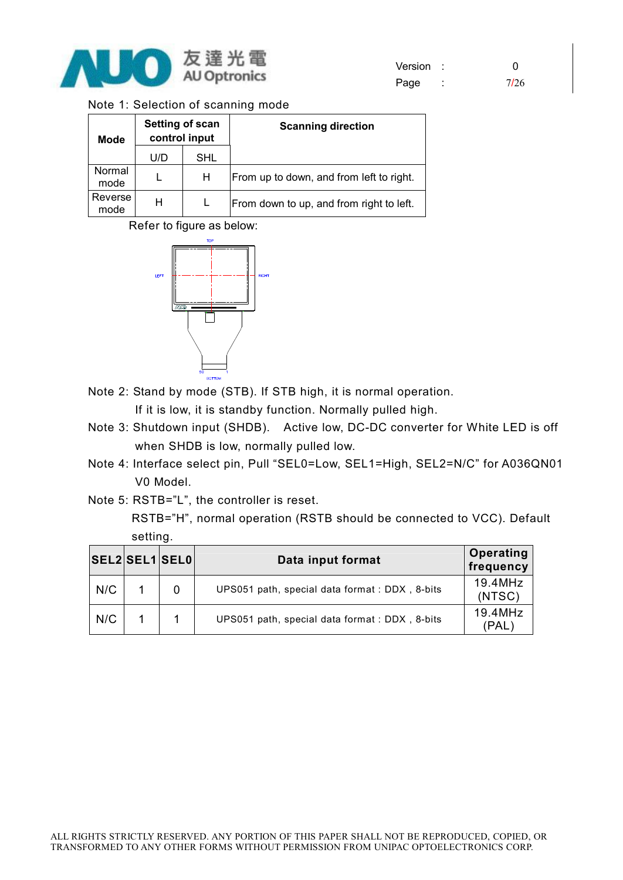

| Version |   |      |
|---------|---|------|
| Page    | ٠ | 7/26 |

| Note 1: Selection of scanning mode |  |  |  |  |  |  |
|------------------------------------|--|--|--|--|--|--|
|------------------------------------|--|--|--|--|--|--|

| <b>Mode</b>     | Setting of scan<br>control input |            | <b>Scanning direction</b>                |
|-----------------|----------------------------------|------------|------------------------------------------|
|                 | U/D                              | <b>SHL</b> |                                          |
| Normal<br>mode  |                                  | н          | From up to down, and from left to right. |
| Reverse<br>mode | н                                |            | From down to up, and from right to left. |

Refer to figure as below:



Note 2: Stand by mode (STB). If STB high, it is normal operation.

If it is low, it is standby function. Normally pulled high.

- Note 3: Shutdown input (SHDB). Active low, DC-DC converter for White LED is off when SHDB is low, normally pulled low.
- Note 4: Interface select pin, Pull "SEL0=Low, SEL1=High, SEL2=N/C" for A036QN01 V0 Model.
- Note 5: RSTB="L", the controller is reset.

RSTB="H", normal operation (RSTB should be connected to VCC). Default setting.

|     | SEL2SEL1SEL0 | Data input format                             | <b>Operating</b><br>frequency |
|-----|--------------|-----------------------------------------------|-------------------------------|
| N/C |              | UPS051 path, special data format: DDX, 8-bits | $19.4$ MHz<br>(NTSC)          |
| N/C |              | UPS051 path, special data format: DDX, 8-bits | 19.4MHz<br>(PAL)              |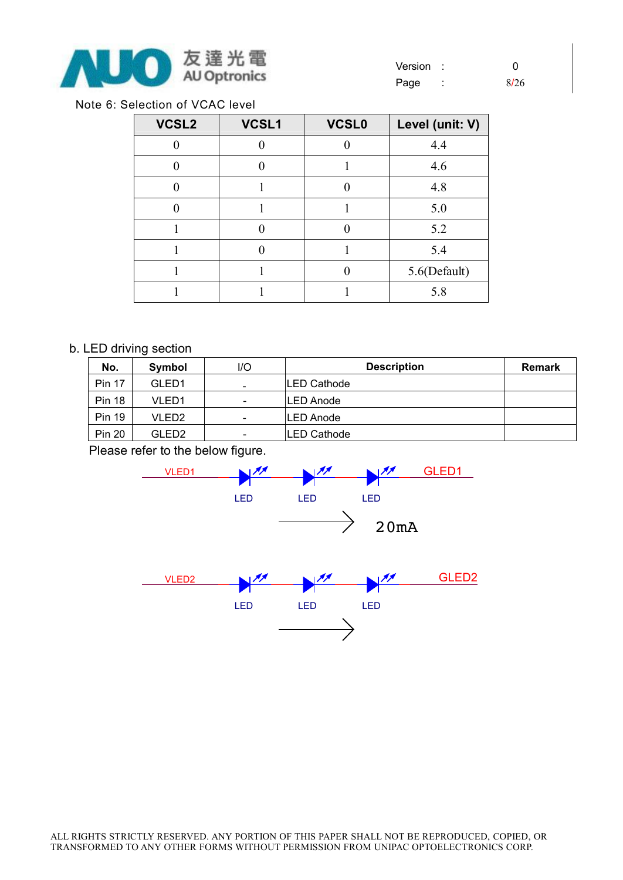

Note 6: Selection of VCAC level

| VCSL2 | VCSL1    | <b>VCSL0</b> | Level (unit: V) |
|-------|----------|--------------|-----------------|
|       |          |              | 4.4             |
|       |          |              | 4.6             |
|       |          |              | 4.8             |
|       |          |              | 5.0             |
|       | $\Omega$ |              | 5.2             |
|       |          |              | 5.4             |
|       |          |              | 5.6(Default)    |
|       |          |              | 5.8             |

#### b. LED driving section

| No.           | Symbol            | l/O                          | <b>Description</b> | <b>Remark</b> |
|---------------|-------------------|------------------------------|--------------------|---------------|
| <b>Pin 17</b> | GLED <sub>1</sub> | $\qquad \qquad \blacksquare$ | <b>LED Cathode</b> |               |
| <b>Pin 18</b> | VLED1             | $\overline{\phantom{0}}$     | <b>LED Anode</b>   |               |
| <b>Pin 19</b> | VLED2             | $\overline{\phantom{a}}$     | <b>LED Anode</b>   |               |
| <b>Pin 20</b> | GLED2             | $\overline{\phantom{0}}$     | <b>LED Cathode</b> |               |

Please refer to the below figure.



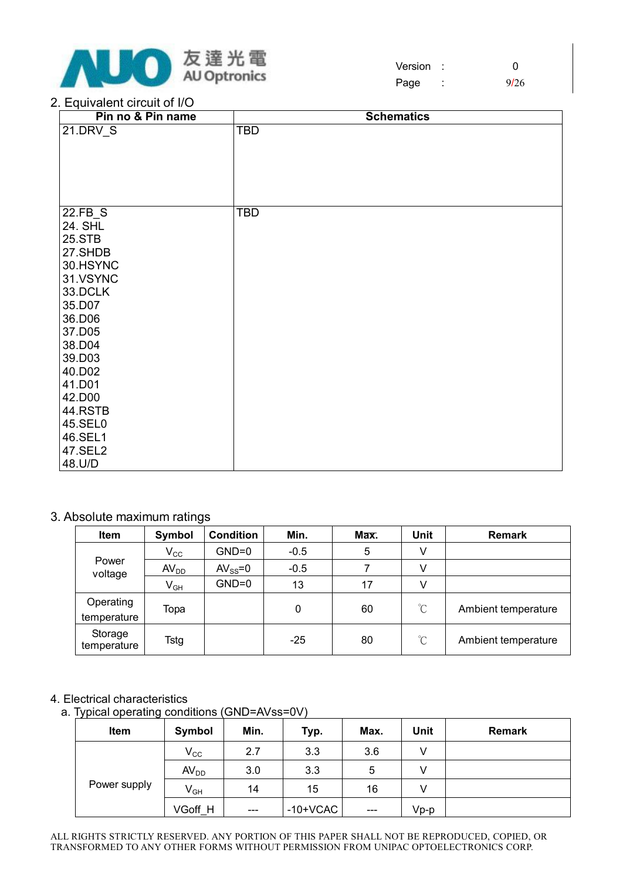

Version : 0 Page : 9/26

#### 2. Equivalent circuit of I/O

| Pin no & Pin name  | <b>Schematics</b> |
|--------------------|-------------------|
| 21.DRV_S           | <b>TBD</b>        |
|                    |                   |
|                    |                   |
|                    |                   |
|                    |                   |
|                    |                   |
| 22.FB_S            | TBD               |
| 24. SHL            |                   |
| <b>25.STB</b>      |                   |
| 27.SHDB            |                   |
| 30.HSYNC           |                   |
| 31.VSYNC           |                   |
| 33.DCLK            |                   |
| 35.D07             |                   |
| 36.D06             |                   |
| 37.D05             |                   |
| 38.D04             |                   |
| 39.D03             |                   |
| 40.D02             |                   |
| 41.D01             |                   |
| 42.D00             |                   |
| 44.RSTB<br>45.SEL0 |                   |
|                    |                   |
| 46.SEL1<br>47.SEL2 |                   |
|                    |                   |
| 48.U/D             |                   |

#### 3. Absolute maximum ratings

| Item                     | Symbol                     | <b>Condition</b> | Min.   | Max. | Unit                 | <b>Remark</b>       |
|--------------------------|----------------------------|------------------|--------|------|----------------------|---------------------|
|                          | $V_{\rm CC}$               | $GND=0$          | $-0.5$ | 5    | ٧                    |                     |
| Power<br>voltage         | AV <sub>DD</sub>           | $AV_{SS}=0$      | $-0.5$ |      | V                    |                     |
|                          | $\mathsf{V}_{\mathsf{GH}}$ | $GND=0$          | 13     | 17   | V                    |                     |
| Operating<br>temperature | Topa                       |                  | 0      | 60   | $\mathrm{C}^{\circ}$ | Ambient temperature |
| Storage<br>temperature   | Tstg                       |                  | $-25$  | 80   | $\mathrm{C}^{\circ}$ | Ambient temperature |

#### 4. Electrical characteristics

a. Typical operating conditions (GND=AVss=0V)

| Item         | Symbol           | Min.                         | Typ.       | Max.  | Unit | <b>Remark</b> |
|--------------|------------------|------------------------------|------------|-------|------|---------------|
| Power supply | $V_{\rm CC}$     | 2.7                          | 3.3        | 3.6   |      |               |
|              | AV <sub>DD</sub> | 3.0                          | 3.3        | 5     | V    |               |
|              | $V_{GH}$         | 14                           | 15         | 16    | V    |               |
|              | VGoff H          | $\qquad \qquad \blacksquare$ | $-10+VCAC$ | $---$ | Vp-p |               |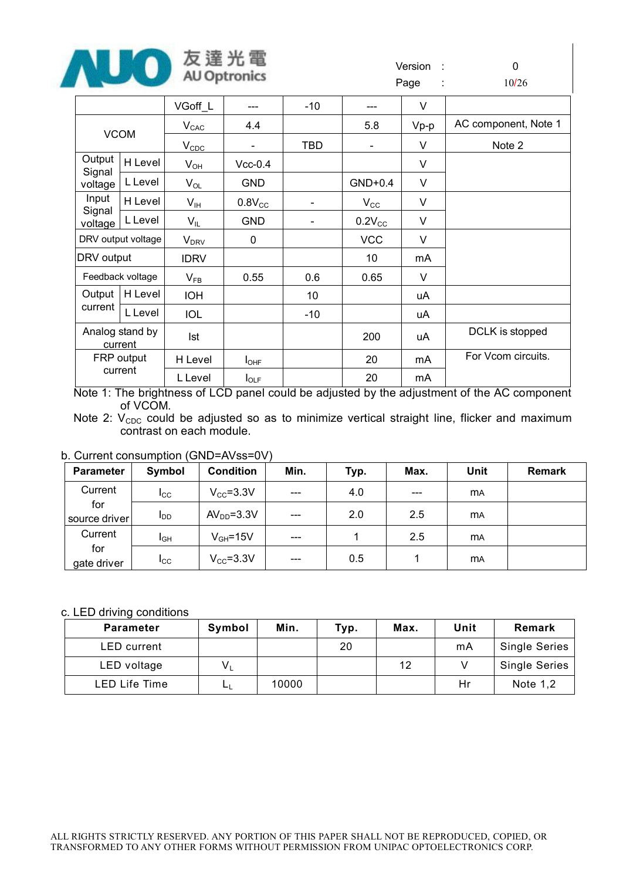

|                   |                            | VGoff_L                | ---                          | $-10$      | ---                          | V      |                      |
|-------------------|----------------------------|------------------------|------------------------------|------------|------------------------------|--------|----------------------|
|                   |                            | $V_{CAC}$              | 4.4                          |            | 5.8                          | $Vp-p$ | AC component, Note 1 |
|                   | <b>VCOM</b>                | $V_{CDC}$              | $\qquad \qquad \blacksquare$ | <b>TBD</b> | $\qquad \qquad \blacksquare$ | V      | Note 2               |
| Output            | H Level                    | $V_{OH}$               | $Vcc-0.4$                    |            |                              | V      |                      |
| Signal<br>voltage | L Level                    | $V_{OL}$               | <b>GND</b>                   |            | $GND+0.4$                    | V      |                      |
| Input             | H Level                    | V <sub>IH</sub>        | $0.8V_{CC}$                  |            | $V_{\rm CC}$                 | V      |                      |
| Signal<br>voltage | L Level                    | $V_{IL}$               | <b>GND</b>                   |            | $0.2V_{CC}$                  | V      |                      |
|                   | DRV output voltage         | <b>V<sub>DRV</sub></b> | 0                            |            | <b>VCC</b>                   | V      |                      |
| DRV output        |                            | <b>IDRV</b>            |                              |            | 10                           | mA     |                      |
|                   | Feedback voltage           | $V_{FB}$               | 0.55                         | 0.6        | 0.65                         | V      |                      |
| Output            | H Level                    | <b>IOH</b>             |                              | 10         |                              | uA     |                      |
| current           | L Level                    | <b>IOL</b>             |                              | $-10$      |                              | uA     |                      |
|                   | Analog stand by<br>current | Ist                    |                              |            | 200                          | uA     | DCLK is stopped      |
|                   | FRP output                 | H Level                | $I_{\text{OHF}}$             |            | 20                           | mA     | For Vcom circuits.   |
| current           |                            | L Level                | $I_{\text{OLF}}$             |            | 20                           | mA     |                      |

Note 1: The brightness of LCD panel could be adjusted by the adjustment of the AC component of VCOM.

Note 2:  $V_{CDC}$  could be adjusted so as to minimize vertical straight line, flicker and maximum contrast on each module.

#### b. Current consumption (GND=AVss=0V)

| <b>Parameter</b>     | Symbol                 | <b>Condition</b> | Min.    | Typ. | Max.  | Unit      | <b>Remark</b> |
|----------------------|------------------------|------------------|---------|------|-------|-----------|---------------|
| Current              | $I_{\rm CC}$           | $V_{CC} = 3.3V$  | $- - -$ | 4.0  | $---$ | <b>MA</b> |               |
| for<br>source driver | <b>I</b> <sub>DD</sub> | $AVDD=3.3V$      | $- - -$ | 2.0  | 2.5   | <b>MA</b> |               |
| Current              | I <sub>GH</sub>        | $V_{GH} = 15V$   | $- - -$ |      | 2.5   | <b>MA</b> |               |
| for<br>gate driver   | $_{\rm{lcc}}$          | $V_{CC} = 3.3V$  | $- - -$ | 0.5  |       | <b>MA</b> |               |

#### c. LED driving conditions

| <b>Parameter</b>   | Symbol | Min.  | Typ. | Max. | Unit | Remark               |
|--------------------|--------|-------|------|------|------|----------------------|
| <b>LED</b> current |        |       | 20   |      | mA   | <b>Single Series</b> |
| LED voltage        | $V_L$  |       |      | 12   |      | <b>Single Series</b> |
| LED Life Time      | டட     | 10000 |      |      | Hr   | Note $1,2$           |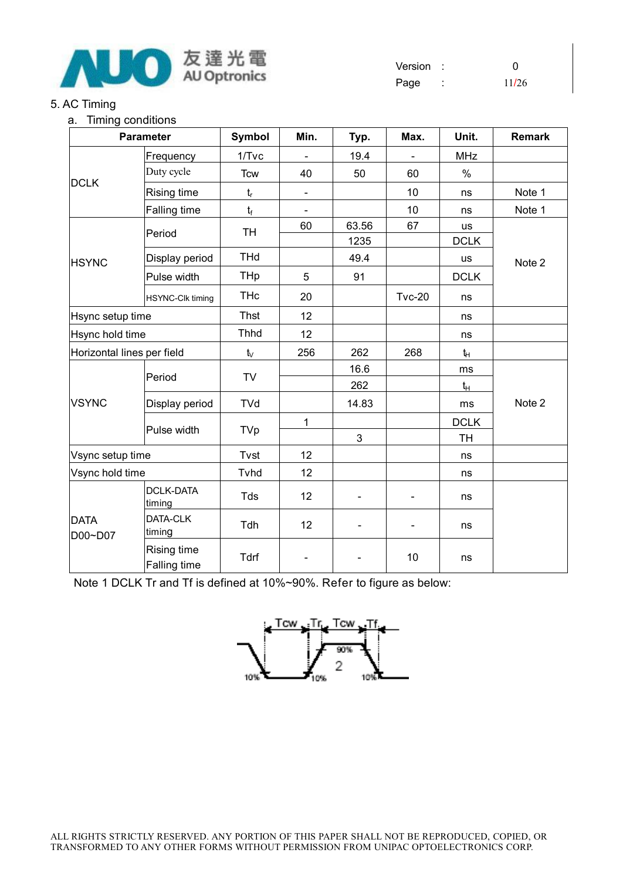

Version : 0 Page : 11/26

#### 5. AC Timing

#### a. Timing conditions

| <b>Parameter</b>           |                             | Symbol      | Min. | Typ.          | Max.          | Unit.             | <b>Remark</b> |
|----------------------------|-----------------------------|-------------|------|---------------|---------------|-------------------|---------------|
|                            | Frequency                   | $1/T$ vc    |      | 19.4          |               | <b>MHz</b>        |               |
|                            | Duty cycle                  | <b>Tcw</b>  | 40   | 50            | 60            | $\%$              |               |
| <b>DCLK</b>                | Rising time                 | $t_r$       |      |               | 10            | ns                | Note 1        |
|                            | Falling time                | $t_f$       |      |               | 10            | ns                | Note 1        |
|                            | Period                      | <b>TH</b>   | 60   | 63.56<br>1235 | 67            | us<br><b>DCLK</b> |               |
| <b>HSYNC</b>               | Display period              | <b>THd</b>  |      | 49.4          |               | us                | Note 2        |
|                            | Pulse width                 | THp         | 5    | 91            |               | <b>DCLK</b>       |               |
|                            | <b>HSYNC-Clk timing</b>     | <b>THc</b>  | 20   |               | <b>Tvc-20</b> | ns                |               |
| Hsync setup time           |                             | <b>Thst</b> | 12   |               |               | ns                |               |
|                            | Hsync hold time             |             | 12   |               |               | ns                |               |
| Horizontal lines per field |                             | $t_{\vee}$  | 256  | 262           | 268           | tн                |               |
|                            | Period                      | TV          |      | 16.6          |               | ms                |               |
|                            |                             |             |      | 262           |               | $t_H$             |               |
| <b>VSYNC</b>               | Display period              | <b>TVd</b>  |      | 14.83         |               | ms                | Note 2        |
|                            |                             |             | 1    |               |               | <b>DCLK</b>       |               |
|                            | Pulse width                 | TVp         |      | 3             |               | <b>TH</b>         |               |
| Vsync setup time           |                             | Tvst        | 12   |               |               | ns                |               |
| Vsync hold time            |                             | Tvhd        | 12   |               |               | ns                |               |
| <b>DATA</b><br>D00~D07     | <b>DCLK-DATA</b><br>timing  | Tds         | 12   |               |               | ns                |               |
|                            | DATA-CLK<br>timing          | Tdh         | 12   |               |               | ns                |               |
|                            | Rising time<br>Falling time | Tdrf        |      |               | 10            | ns                |               |

Note 1 DCLK Tr and Tf is defined at 10%~90%. Refer to figure as below:

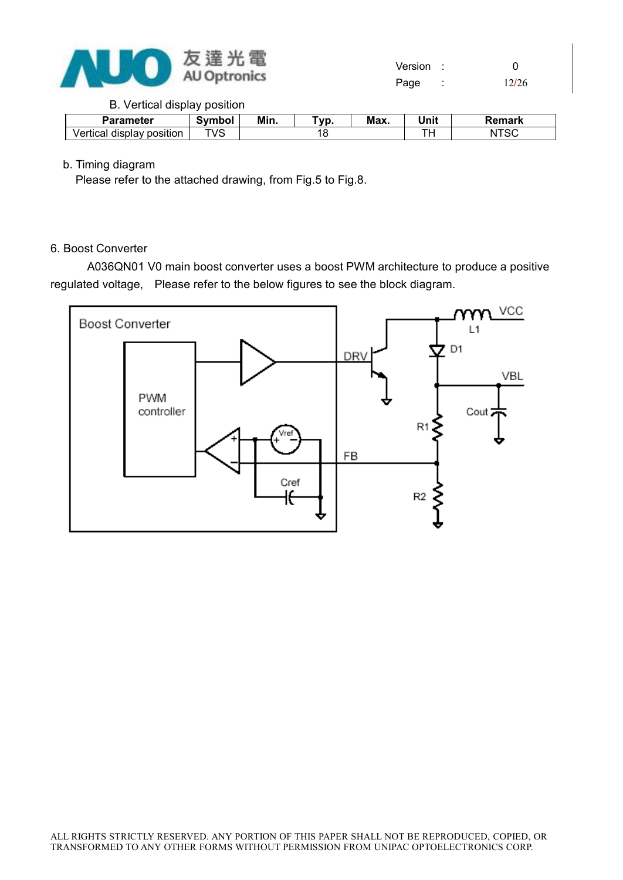

#### B. Vertical display position

| <b>Parameter</b>                | Svmbol | Min. | Vp. | Max. | Unit | Remark  |
|---------------------------------|--------|------|-----|------|------|---------|
| Vertical<br>displav<br>position | TVS    |      |     |      |      | N<br>эu |

#### b. Timing diagram

Please refer to the attached drawing, from Fig.5 to Fig.8.

#### 6. Boost Converter

A036QN01 V0 main boost converter uses a boost PWM architecture to produce a positive regulated voltage, Please refer to the below figures to see the block diagram.

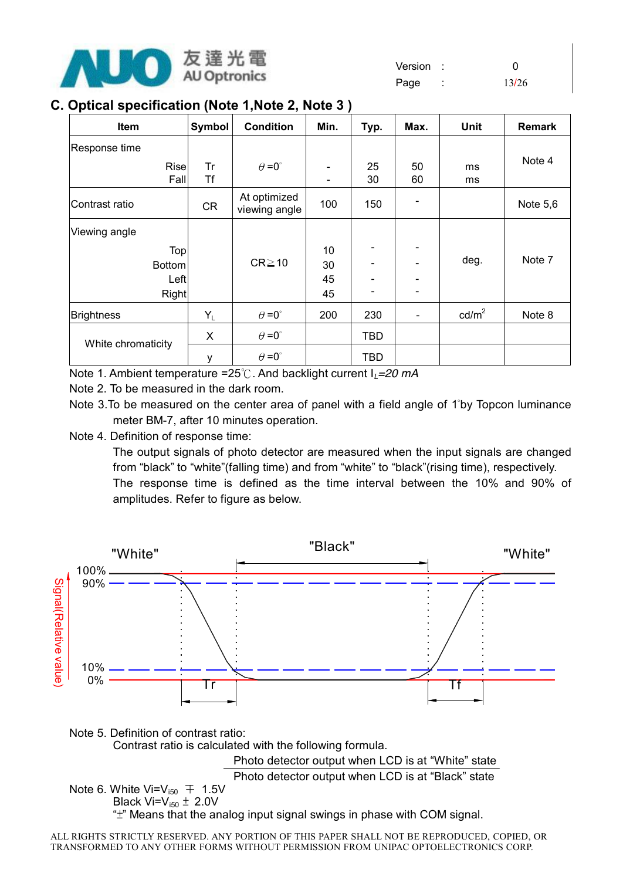

Page : 13/26

## **C. Optical specification (Note 1,Note 2, Note 3 )**

| Item                | Symbol    | <b>Condition</b>              | Min.                     | Typ.                     | Max.     | <b>Unit</b>     | Remark   |
|---------------------|-----------|-------------------------------|--------------------------|--------------------------|----------|-----------------|----------|
| Response time       |           |                               |                          |                          |          |                 |          |
| <b>Rise</b><br>Fall | Tr<br>Τf  | $\theta = 0^{\circ}$          | $\overline{\phantom{a}}$ | 25<br>30                 | 50<br>60 | ms<br>ms        | Note 4   |
| Contrast ratio      | <b>CR</b> | At optimized<br>viewing angle | 100                      | 150                      |          |                 | Note 5,6 |
| Viewing angle       |           |                               |                          |                          |          |                 |          |
| Top                 |           |                               | 10                       |                          |          |                 |          |
| <b>Bottom</b>       |           | $CR \ge 10$                   | 30                       |                          |          | deg.            | Note 7   |
| Left                |           |                               | 45                       |                          |          |                 |          |
| Right               |           |                               | 45                       | $\overline{\phantom{0}}$ |          |                 |          |
| <b>Brightness</b>   | $Y_L$     | $\theta = 0^{\circ}$          | 200                      | 230                      |          | $\text{cd/m}^2$ | Note 8   |
| White chromaticity  | X         | $\theta = 0^{\circ}$          |                          | <b>TBD</b>               |          |                 |          |
|                     | у         | $\theta = 0^{\circ}$          |                          | <b>TBD</b>               |          |                 |          |

Note 1. Ambient temperature =25℃. And backlight current I*L=20 mA*

Note 2. To be measured in the dark room.

Note 3.To be measured on the center area of panel with a field angle of 1°by Topcon luminance meter BM-7, after 10 minutes operation.

Note 4. Definition of response time:

The output signals of photo detector are measured when the input signals are changed from "black" to "white"(falling time) and from "white" to "black"(rising time), respectively. The response time is defined as the time interval between the 10% and 90% of amplitudes. Refer to figure as below.

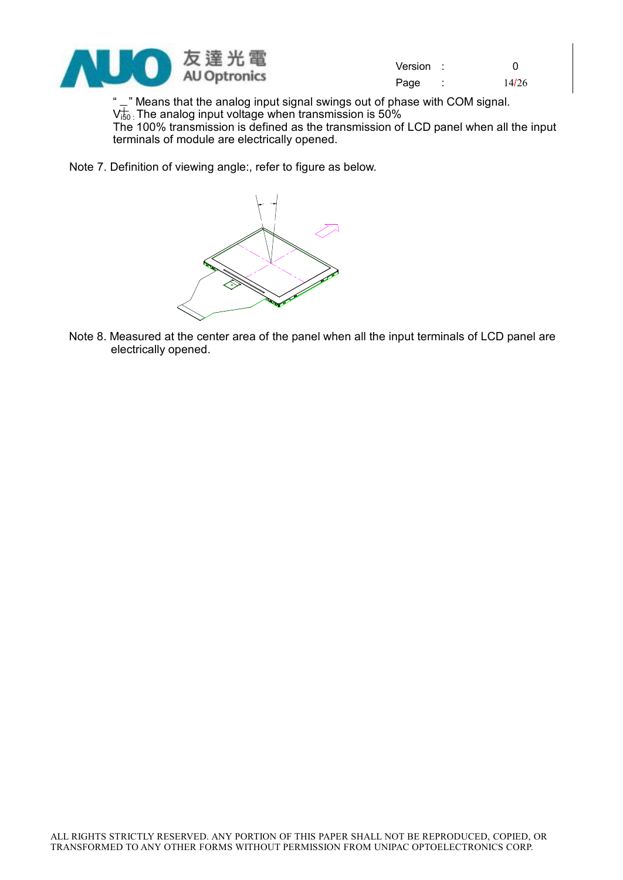

Version : 0 Page : 14/26

" - " Means that the analog input signal swings out of phase with COM signal.  $\rm V_{150}^+$  The analog input voltage when transmission is 50% The 100% transmission is defined as the transmission of LCD panel when all the input terminals of module are electrically opened.

Note 7. Definition of viewing angle:, refer to figure as below.



Note 8. Measured at the center area of the panel when all the input terminals of LCD panel are electrically opened.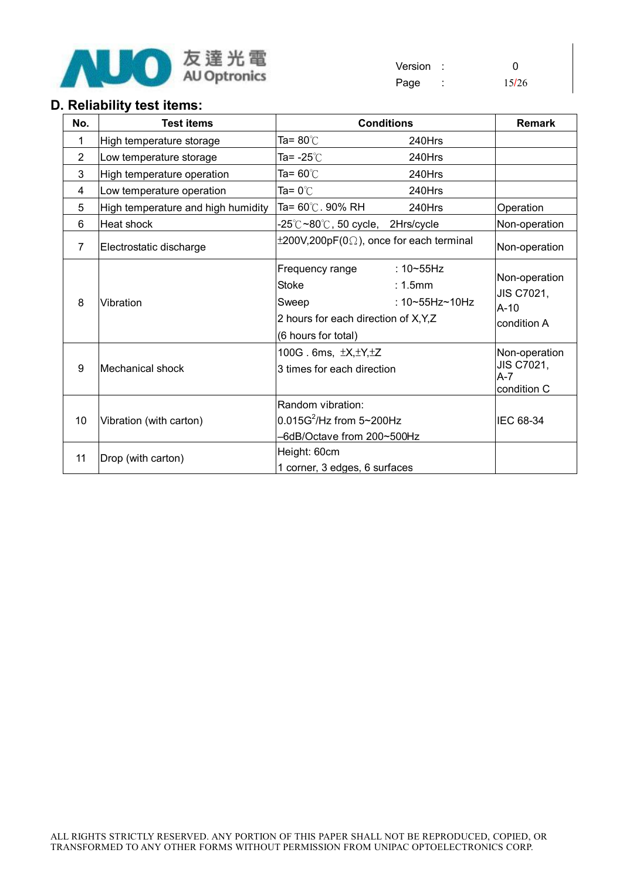

## Version : 0 Page : 15/26

## **D. Reliability test items:**

| No.            | <b>Test items</b>                  | <b>Conditions</b>                                                                                                                                       | <b>Remark</b>                                         |
|----------------|------------------------------------|---------------------------------------------------------------------------------------------------------------------------------------------------------|-------------------------------------------------------|
| 1              | High temperature storage           | Ta= 80℃<br>240Hrs                                                                                                                                       |                                                       |
| $\overline{2}$ | Low temperature storage            | Ta= -25℃<br>240Hrs                                                                                                                                      |                                                       |
| 3              | High temperature operation         | Ta= 60℃<br>240Hrs                                                                                                                                       |                                                       |
| 4              | Low temperature operation          | Ta= 0 $^{\circ}\mathrm{C}$<br>240Hrs                                                                                                                    |                                                       |
| 5              | High temperature and high humidity | 240Hrs<br>Ta= 60℃. 90% RH                                                                                                                               | Operation                                             |
| 6              | <b>Heat shock</b>                  | -25℃~80℃, 50 cycle,<br>2Hrs/cycle                                                                                                                       | Non-operation                                         |
| 7              | Electrostatic discharge            | $\pm 200V, 200pF(0\Omega)$ , once for each terminal                                                                                                     | Non-operation                                         |
| 8              | Vibration                          | Frequency range<br>: $10 - 55$ Hz<br><b>Stoke</b><br>: 1.5mm<br>: 10~55Hz~10Hz<br>Sweep<br>2 hours for each direction of X, Y, Z<br>(6 hours for total) | Non-operation<br>JIS C7021,<br>$A-10$<br>condition A  |
| 9              | <b>Mechanical shock</b>            | 100G. 6ms, $\pm X, \pm Y, \pm Z$<br>3 times for each direction                                                                                          | Non-operation<br>JIS C7021,<br>$A - 7$<br>condition C |
| 10             | Vibration (with carton)            | Random vibration:<br>$0.015G^2$ /Hz from 5~200Hz<br>-6dB/Octave from 200~500Hz                                                                          | IEC 68-34                                             |
| 11             | Drop (with carton)                 | Height: 60cm<br>1 corner, 3 edges, 6 surfaces                                                                                                           |                                                       |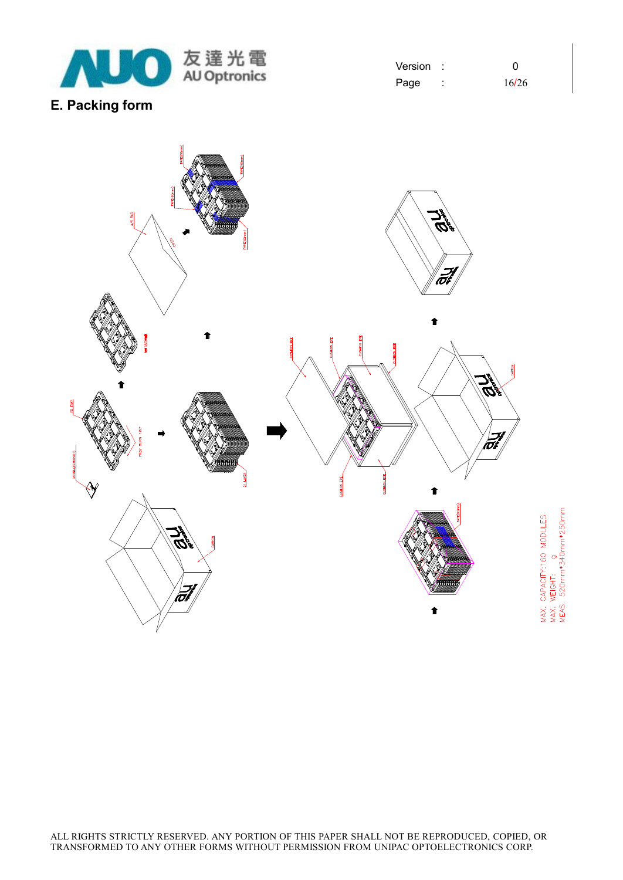

Version : 0 Page : 16/26

## **E. Packing form**

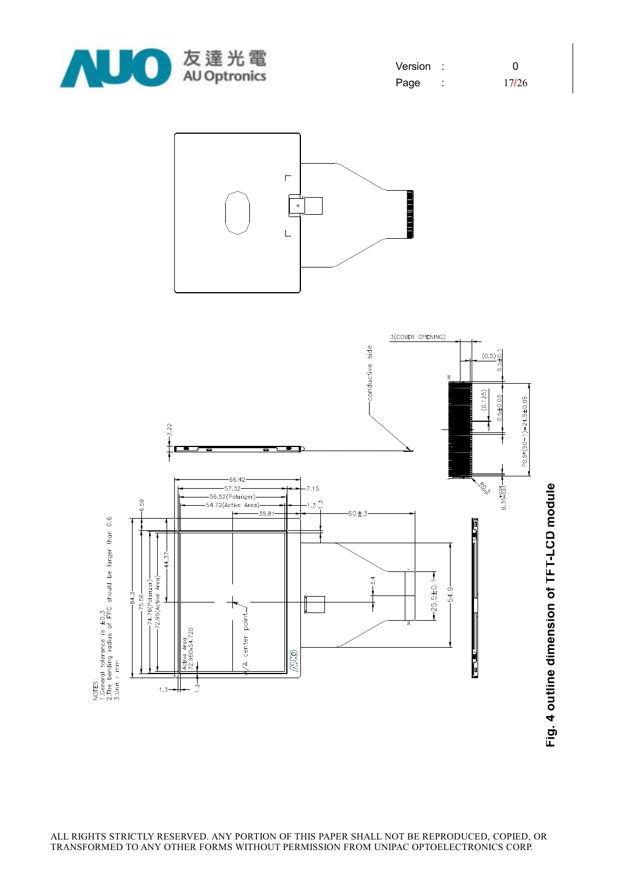

| Version | ∩     |
|---------|-------|
| Page    | 17/26 |





**Fig. 4 o utlin e dim e n sio n of T F T-L C D m o d**

**ule**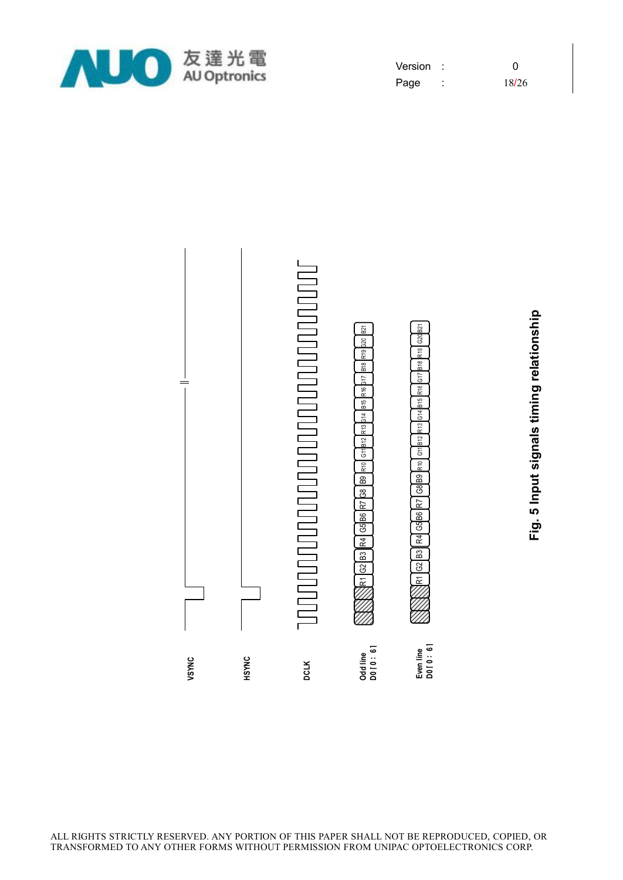![](_page_18_Picture_0.jpeg)

| Version | O     |
|---------|-------|
| Page    | 18/26 |

![](_page_18_Figure_2.jpeg)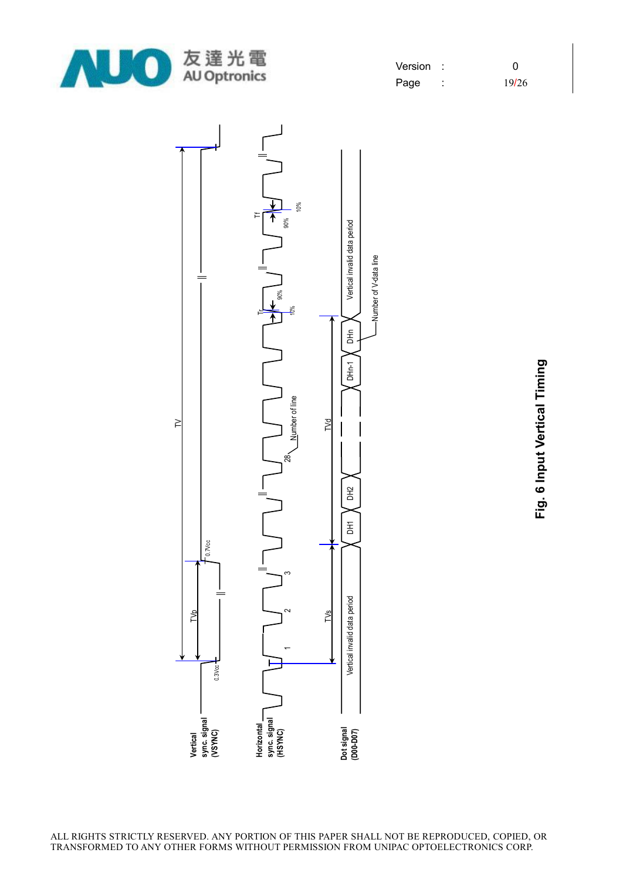![](_page_19_Picture_0.jpeg)

| Version | ∩     |
|---------|-------|
| Page    | 19/26 |

![](_page_19_Figure_2.jpeg)

**Fig. 6 In p ut Vertic al Timin g**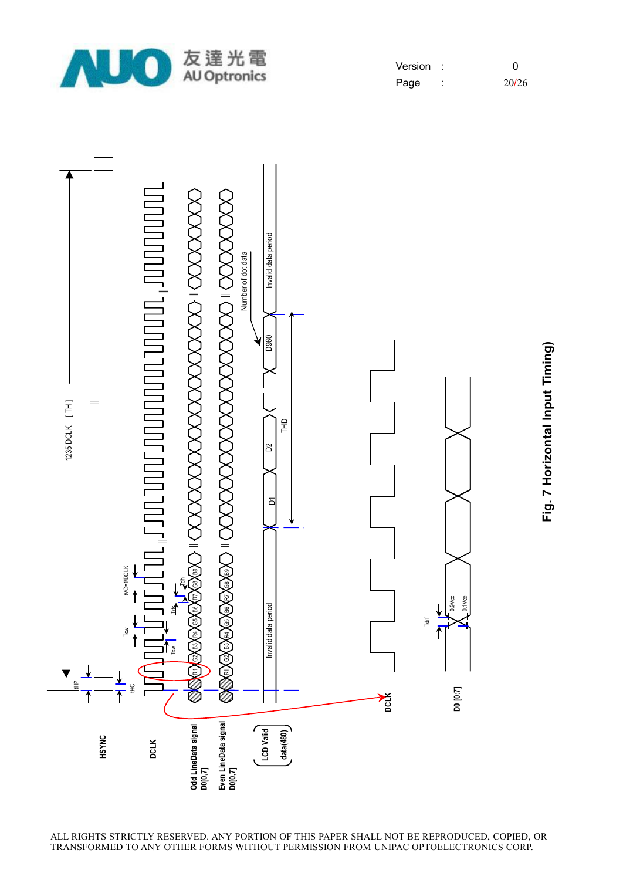![](_page_20_Picture_0.jpeg)

| Version |       |
|---------|-------|
| Page    | 20/26 |

![](_page_20_Figure_2.jpeg)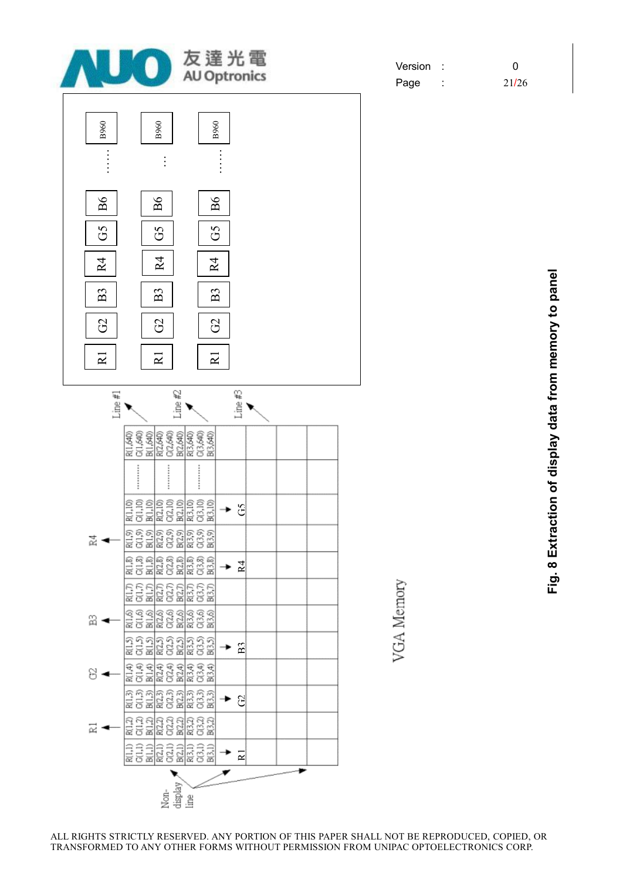![](_page_21_Figure_0.jpeg)

Version : 0 Page : 21/26

> **Fig. 8 E xtra ctio n of dis pla y d ata fro m m e m ory to p a n el**

ALL RIGHTS STRICTLY RESERVED. ANY PORTION OF THIS PAPER SHALL NOT BE REPRODUCED, COPIED, OR TRANSFORMED TO ANY OTHER FORMS WITHOUT PERMISSION FROM UNIPAC OPTOELECTRONICS CORP.

VGA Memory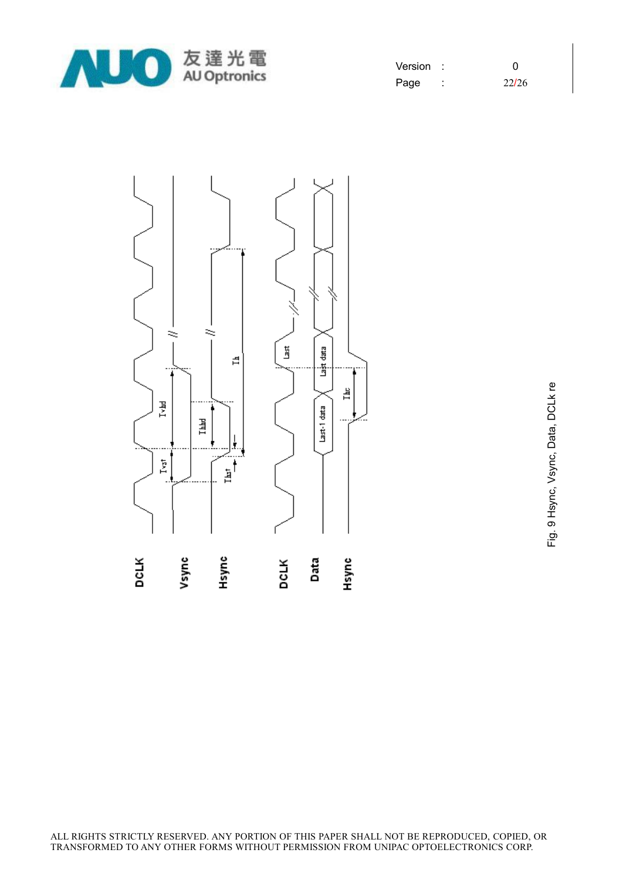![](_page_22_Picture_0.jpeg)

| Version | ∩     |
|---------|-------|
| Page    | 22/26 |

![](_page_22_Figure_2.jpeg)

o<br>Ep. Hsync, Vsync, D ata, D C Lk re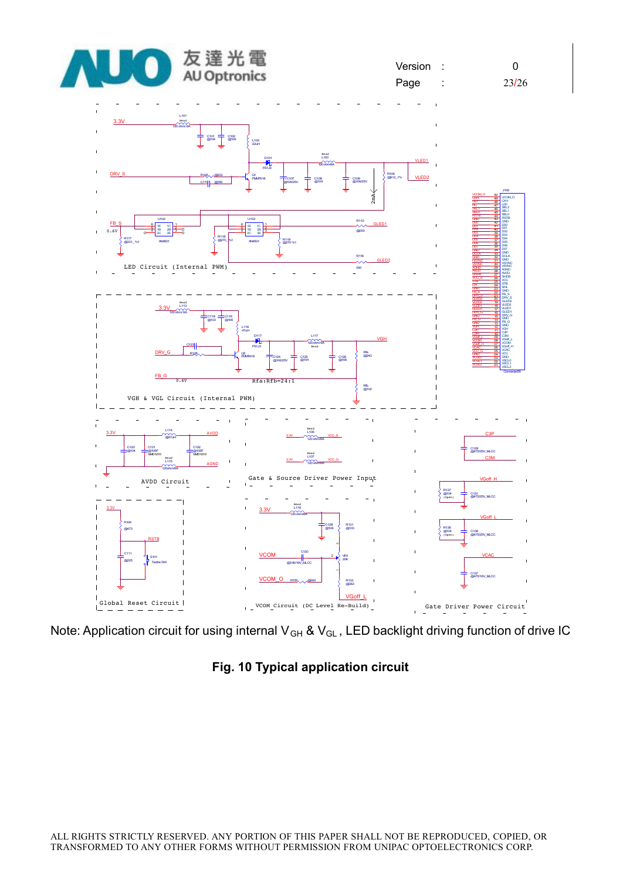![](_page_23_Figure_0.jpeg)

![](_page_23_Figure_3.jpeg)

Note: Application circuit for using internal V<sub>GH</sub> & V<sub>GL</sub>, LED backlight driving function of drive IC

**Fig. 10 Typical application circuit**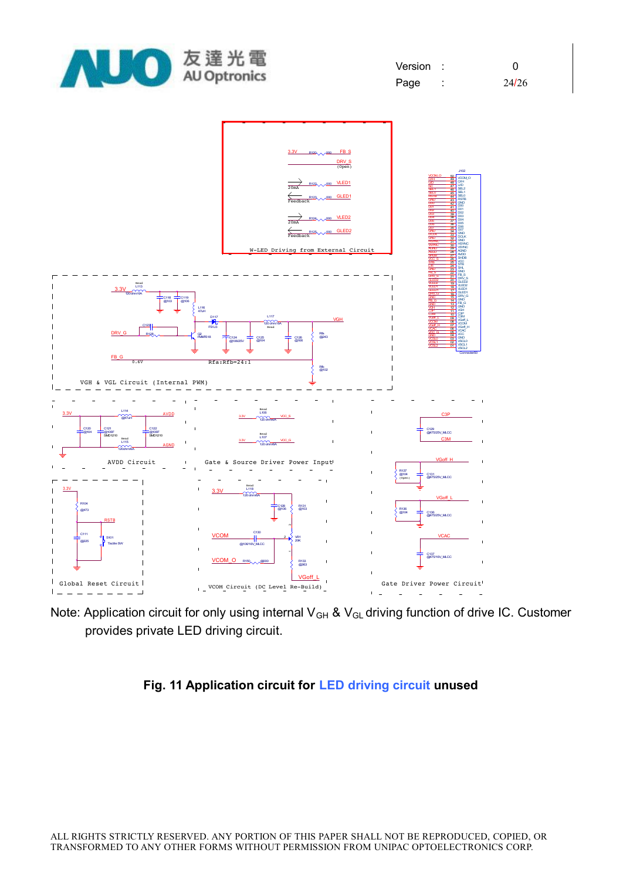![](_page_24_Picture_0.jpeg)

![](_page_24_Figure_2.jpeg)

Note: Application circuit for only using internal V<sub>GH</sub> & V<sub>GL</sub> driving function of drive IC. Customer provides private LED driving circuit.

## **Fig. 11 Application circuit for LED driving circuit unused**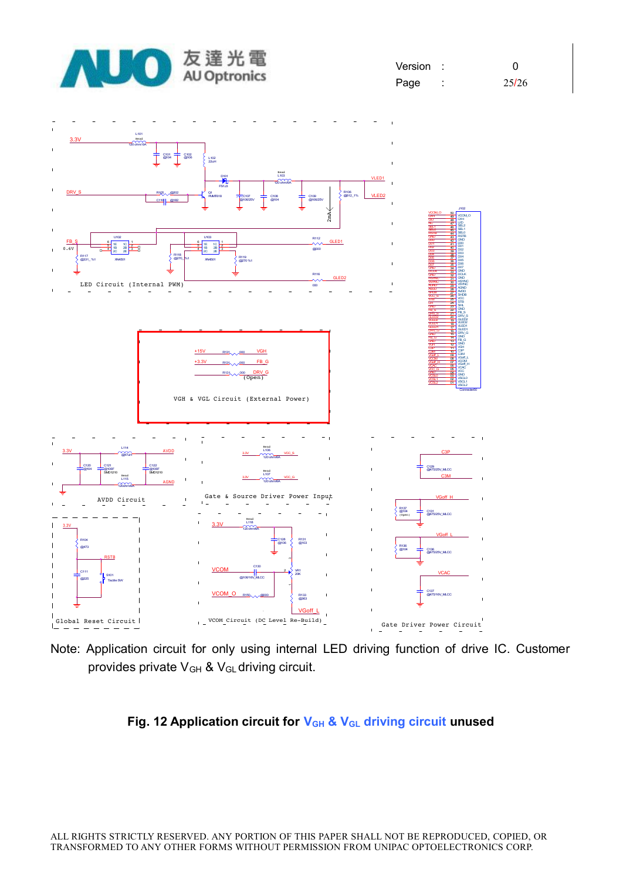![](_page_25_Figure_0.jpeg)

Note: Application circuit for only using internal LED driving function of drive IC. Customer provides private  $V_{GH}$  &  $V_{GL}$  driving circuit.

### **Fig. 12 Application circuit for VGH & VGL driving circuit unused**